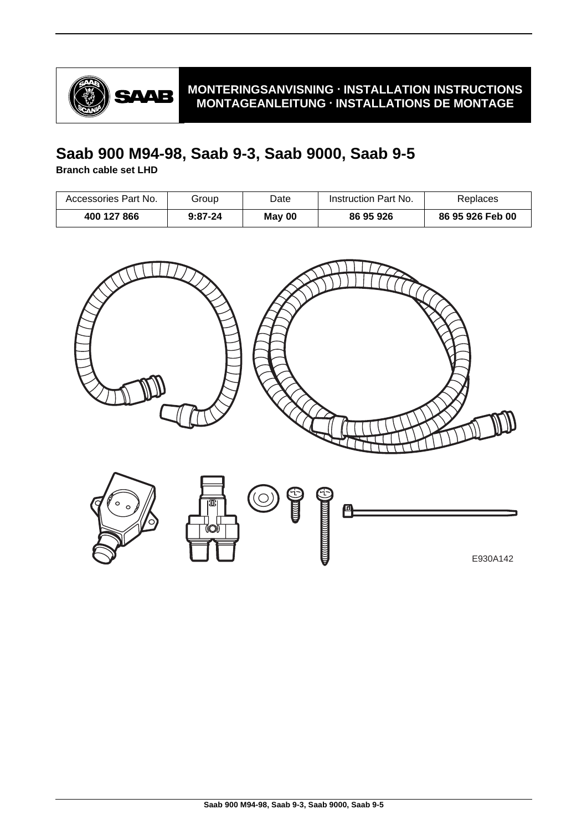

### **MONTERINGSANVISNING · INSTALLATION INSTRUCTIONS MONTAGEANLEITUNG · INSTALLATIONS DE MONTAGE**

# **Saab 900 M94-98, Saab 9-3, Saab 9000, Saab 9-5**

**Branch cable set LHD**

| Accessories Part No. | Group     | Date   | Instruction Part No. | Replaces         |
|----------------------|-----------|--------|----------------------|------------------|
| 400 127 866          | $9:87-24$ | May 00 | 86 95 926            | 86 95 926 Feb 00 |

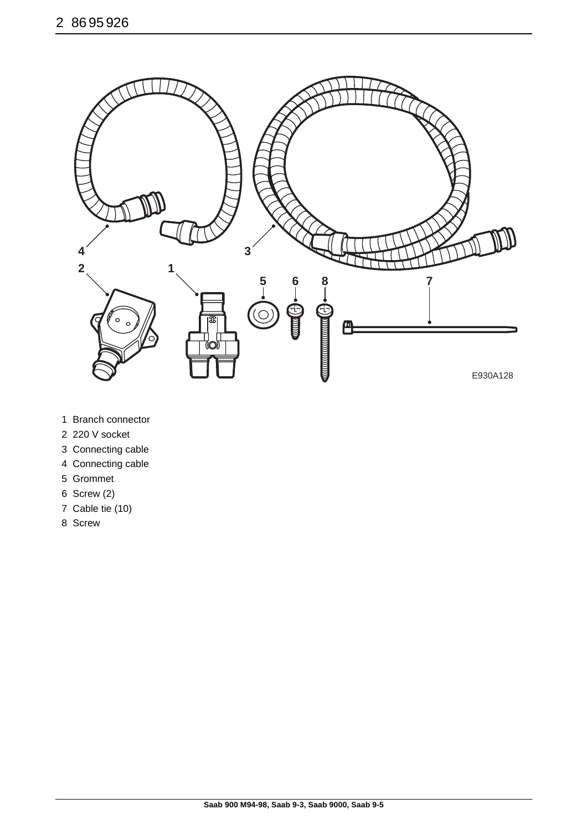

- 1 Branch connector
- 2 220 V socket
- 3 Connecting cable
- 4 Connecting cable
- 5 Grommet
- 6 Screw (2)
- 7 Cable tie (10)
- 8 Screw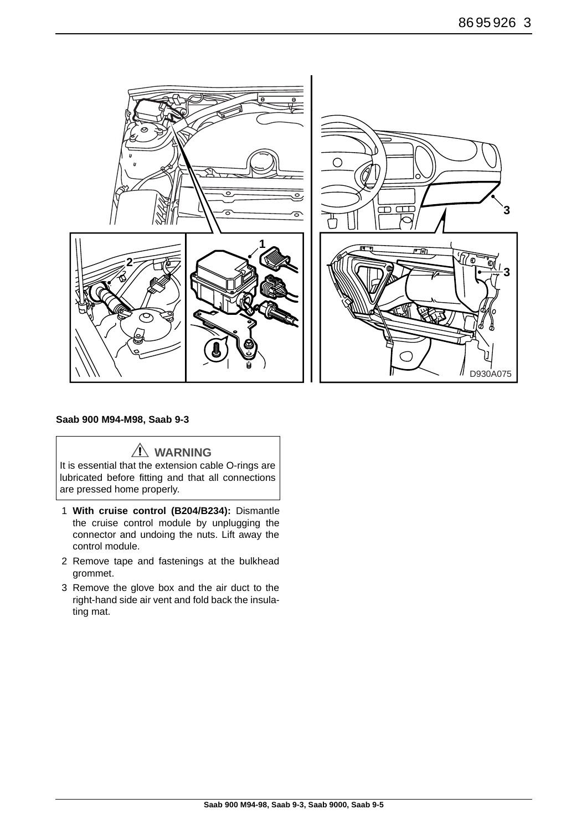

#### **Saab 900 M94-M98, Saab 9-3**

**WARNING**

It is essential that the extension cable O-rings are lubricated before fitting and that all connections are pressed home properly.

- 1 **With cruise control (B204/B234):** Dismantle the cruise control module by unplugging the connector and undoing the nuts. Lift away the control module.
- 2 Remove tape and fastenings at the bulkhead grommet.
- 3 Remove the glove box and the air duct to the right-hand side air vent and fold back the insulating mat.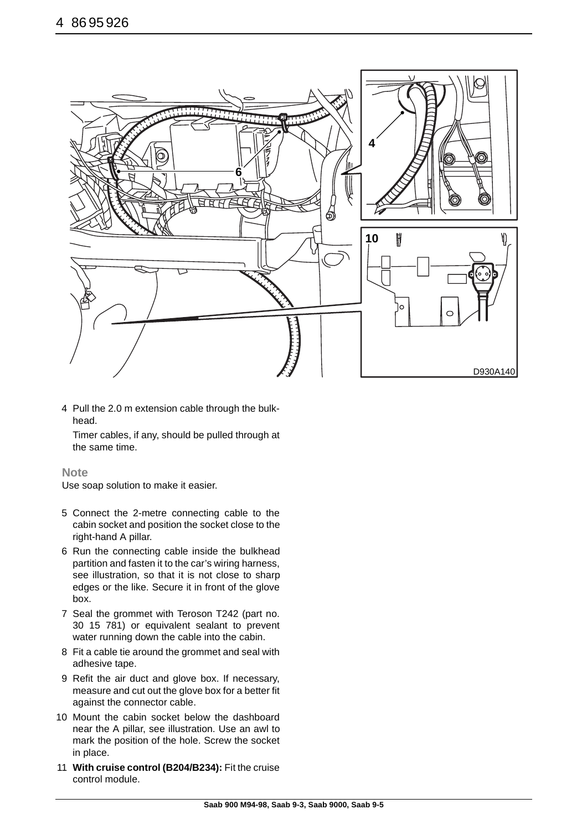

4 Pull the 2.0 m extension cable through the bulkhead.

Timer cables, if any, should be pulled through at the same time.

#### **Note**

Use soap solution to make it easier.

- 5 Connect the 2-metre connecting cable to the cabin socket and position the socket close to the right-hand A pillar.
- 6 Run the connecting cable inside the bulkhead partition and fasten it to the car's wiring harness, see illustration, so that it is not close to sharp edges or the like. Secure it in front of the glove box.
- 7 Seal the grommet with Teroson T242 (part no. 30 15 781) or equivalent sealant to prevent water running down the cable into the cabin.
- 8 Fit a cable tie around the grommet and seal with adhesive tape.
- 9 Refit the air duct and glove box. If necessary, measure and cut out the glove box for a better fit against the connector cable.
- 10 Mount the cabin socket below the dashboard near the A pillar, see illustration. Use an awl to mark the position of the hole. Screw the socket in place.
- 11 **With cruise control (B204/B234):** Fit the cruise control module.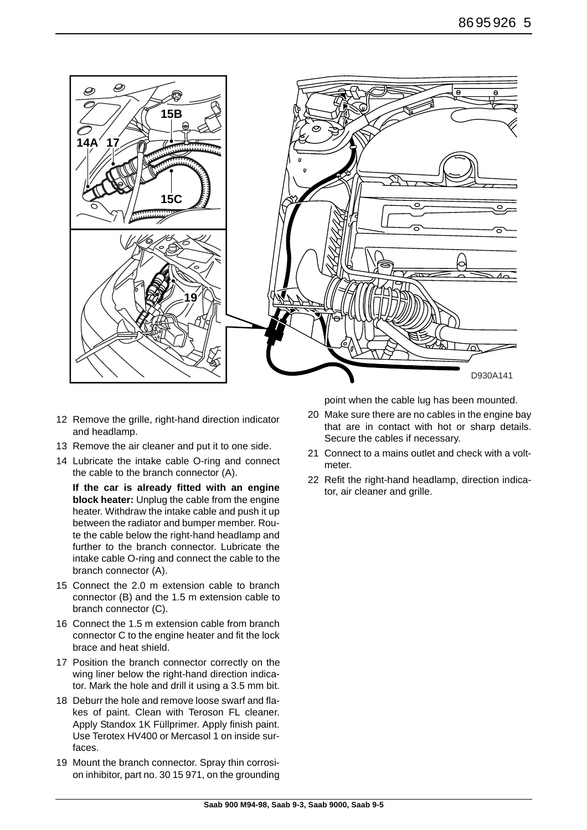

- 12 Remove the grille, right-hand direction indicator and headlamp.
- 13 Remove the air cleaner and put it to one side.
- 14 Lubricate the intake cable O-ring and connect the cable to the branch connector (A).

**If the car is already fitted with an engine block heater:** Unplug the cable from the engine heater. Withdraw the intake cable and push it up between the radiator and bumper member. Route the cable below the right-hand headlamp and further to the branch connector. Lubricate the intake cable O-ring and connect the cable to the branch connector (A).

- 15 Connect the 2.0 m extension cable to branch connector (B) and the 1.5 m extension cable to branch connector (C).
- 16 Connect the 1.5 m extension cable from branch connector C to the engine heater and fit the lock brace and heat shield.
- 17 Position the branch connector correctly on the wing liner below the right-hand direction indicator. Mark the hole and drill it using a 3.5 mm bit.
- 18 Deburr the hole and remove loose swarf and flakes of paint. Clean with Teroson FL cleaner. Apply Standox 1K Füllprimer. Apply finish paint. Use Terotex HV400 or Mercasol 1 on inside surfaces.
- 19 Mount the branch connector. Spray thin corrosion inhibitor, part no. 30 15 971, on the grounding

point when the cable lug has been mounted.

- 20 Make sure there are no cables in the engine bay that are in contact with hot or sharp details. Secure the cables if necessary.
- 21 Connect to a mains outlet and check with a voltmeter.
- 22 Refit the right-hand headlamp, direction indicator, air cleaner and grille.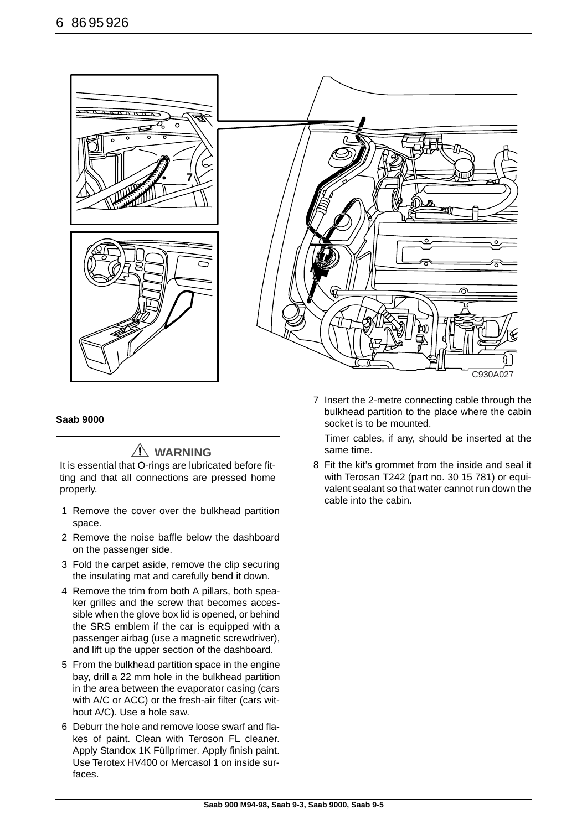

#### **Saab 9000**

### **WARNING**

It is essential that O-rings are lubricated before fitting and that all connections are pressed home properly.

- 1 Remove the cover over the bulkhead partition space.
- 2 Remove the noise baffle below the dashboard on the passenger side.
- 3 Fold the carpet aside, remove the clip securing the insulating mat and carefully bend it down.
- 4 Remove the trim from both A pillars, both speaker grilles and the screw that becomes accessible when the glove box lid is opened, or behind the SRS emblem if the car is equipped with a passenger airbag (use a magnetic screwdriver), and lift up the upper section of the dashboard.
- 5 From the bulkhead partition space in the engine bay, drill a 22 mm hole in the bulkhead partition in the area between the evaporator casing (cars with A/C or ACC) or the fresh-air filter (cars without A/C). Use a hole saw.
- 6 Deburr the hole and remove loose swarf and flakes of paint. Clean with Teroson FL cleaner. Apply Standox 1K Füllprimer. Apply finish paint. Use Terotex HV400 or Mercasol 1 on inside surfaces.

7 Insert the 2-metre connecting cable through the bulkhead partition to the place where the cabin socket is to be mounted.

Timer cables, if any, should be inserted at the same time.

8 Fit the kit's grommet from the inside and seal it with Terosan T242 (part no. 30 15 781) or equivalent sealant so that water cannot run down the cable into the cabin.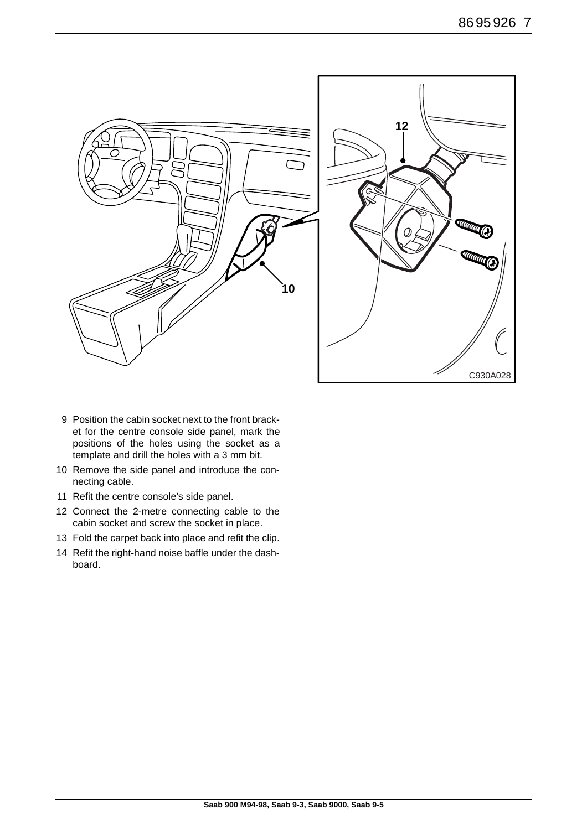

- 9 Position the cabin socket next to the front bracket for the centre console side panel, mark the positions of the holes using the socket as a template and drill the holes with a 3 mm bit.
- 10 Remove the side panel and introduce the connecting cable.
- 11 Refit the centre console's side panel.
- 12 Connect the 2-metre connecting cable to the cabin socket and screw the socket in place.
- 13 Fold the carpet back into place and refit the clip.
- 14 Refit the right-hand noise baffle under the dashboard.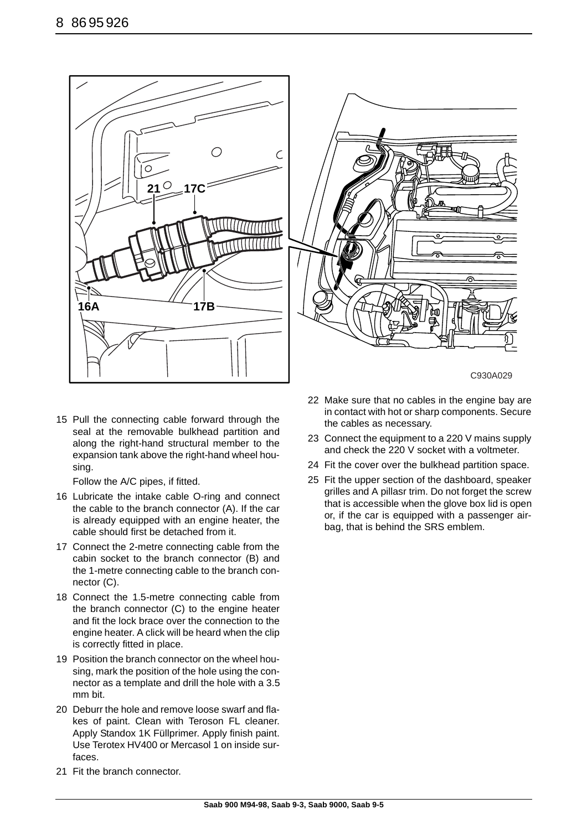



C930A029

15 Pull the connecting cable forward through the seal at the removable bulkhead partition and along the right-hand structural member to the expansion tank above the right-hand wheel housing.

Follow the A/C pipes, if fitted.

- 16 Lubricate the intake cable O-ring and connect the cable to the branch connector (A). If the car is already equipped with an engine heater, the cable should first be detached from it.
- 17 Connect the 2-metre connecting cable from the cabin socket to the branch connector (B) and the 1-metre connecting cable to the branch connector (C).
- 18 Connect the 1.5-metre connecting cable from the branch connector (C) to the engine heater and fit the lock brace over the connection to the engine heater. A click will be heard when the clip is correctly fitted in place.
- 19 Position the branch connector on the wheel housing, mark the position of the hole using the connector as a template and drill the hole with a 3.5 mm bit.
- 20 Deburr the hole and remove loose swarf and flakes of paint. Clean with Teroson FL cleaner. Apply Standox 1K Füllprimer. Apply finish paint. Use Terotex HV400 or Mercasol 1 on inside surfaces.
- 22 Make sure that no cables in the engine bay are in contact with hot or sharp components. Secure the cables as necessary.
- 23 Connect the equipment to a 220 V mains supply and check the 220 V socket with a voltmeter.
- 24 Fit the cover over the bulkhead partition space.
- 25 Fit the upper section of the dashboard, speaker grilles and A pillasr trim. Do not forget the screw that is accessible when the glove box lid is open or, if the car is equipped with a passenger airbag, that is behind the SRS emblem.

21 Fit the branch connector.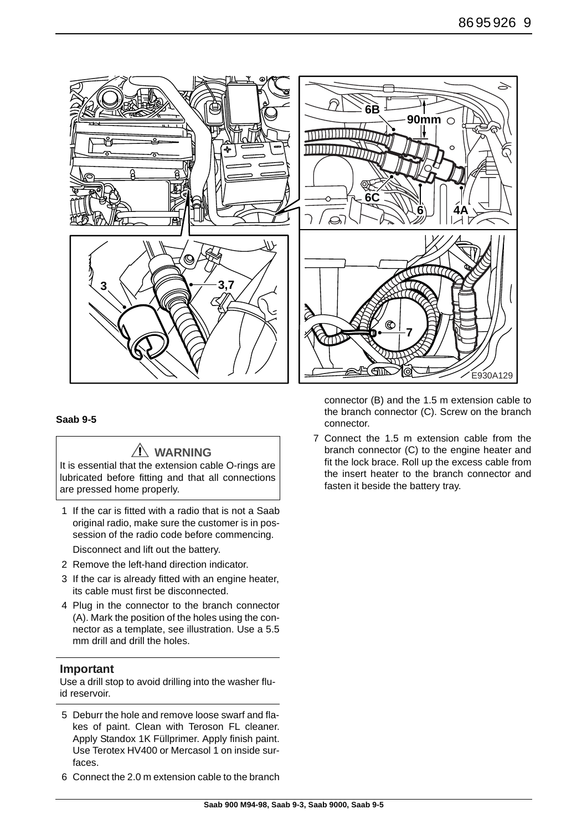

#### **Saab 9-5**

## **WARNING**

It is essential that the extension cable O-rings are lubricated before fitting and that all connections are pressed home properly.

- 1 If the car is fitted with a radio that is not a Saab original radio, make sure the customer is in possession of the radio code before commencing. Disconnect and lift out the battery.
- 2 Remove the left-hand direction indicator.
- 3 If the car is already fitted with an engine heater, its cable must first be disconnected.
- 4 Plug in the connector to the branch connector (A). Mark the position of the holes using the connector as a template, see illustration. Use a 5.5 mm drill and drill the holes.

#### **Important**

Use a drill stop to avoid drilling into the washer fluid reservoir.

- 5 Deburr the hole and remove loose swarf and flakes of paint. Clean with Teroson FL cleaner. Apply Standox 1K Füllprimer. Apply finish paint. Use Terotex HV400 or Mercasol 1 on inside surfaces.
- 6 Connect the 2.0 m extension cable to the branch

connector (B) and the 1.5 m extension cable to the branch connector (C). Screw on the branch connector.

7 Connect the 1.5 m extension cable from the branch connector (C) to the engine heater and fit the lock brace. Roll up the excess cable from the insert heater to the branch connector and fasten it beside the battery tray.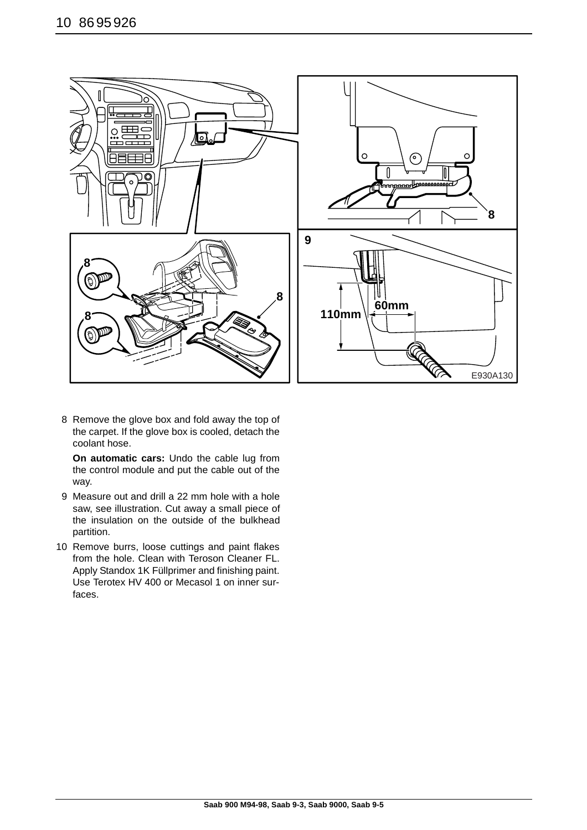

8 Remove the glove box and fold away the top of the carpet. If the glove box is cooled, detach the coolant hose.

**On automatic cars:** Undo the cable lug from the control module and put the cable out of the way.

- 9 Measure out and drill a 22 mm hole with a hole saw, see illustration. Cut away a small piece of the insulation on the outside of the bulkhead partition.
- 10 Remove burrs, loose cuttings and paint flakes from the hole. Clean with Teroson Cleaner FL. Apply Standox 1K Füllprimer and finishing paint. Use Terotex HV 400 or Mecasol 1 on inner surfaces.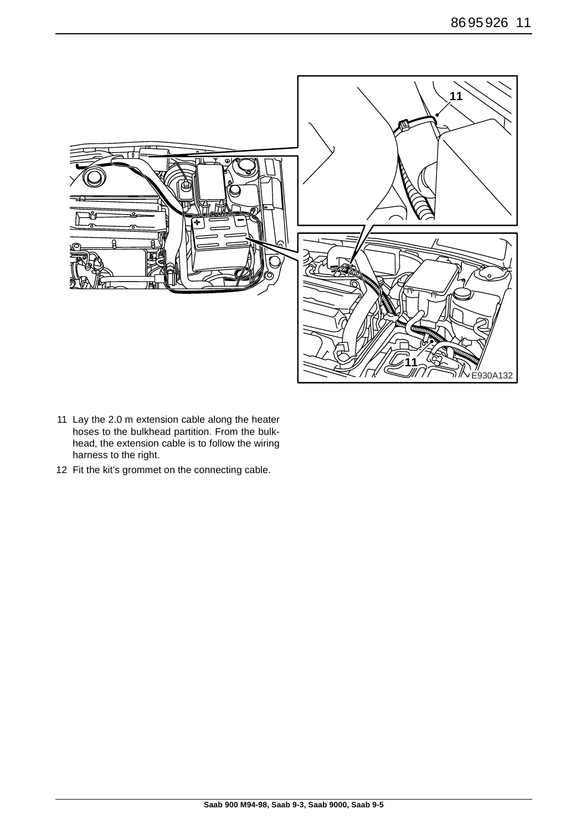

- 11 Lay the 2.0 m extension cable along the heater hoses to the bulkhead partition. From the bulkhead, the extension cable is to follow the wiring harness to the right.
- 12 Fit the kit's grommet on the connecting cable.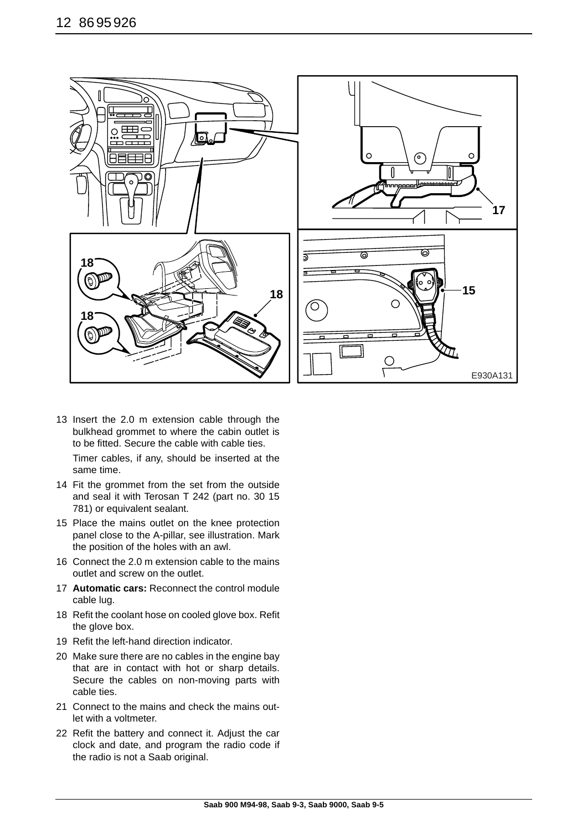

13 Insert the 2.0 m extension cable through the bulkhead grommet to where the cabin outlet is to be fitted. Secure the cable with cable ties. Timer cables, if any, should be inserted at the

same time.

- 14 Fit the grommet from the set from the outside and seal it with Terosan T 242 (part no. 30 15 781) or equivalent sealant.
- 15 Place the mains outlet on the knee protection panel close to the A-pillar, see illustration. Mark the position of the holes with an awl.
- 16 Connect the 2.0 m extension cable to the mains outlet and screw on the outlet.
- 17 **Automatic cars:** Reconnect the control module cable lug.
- 18 Refit the coolant hose on cooled glove box. Refit the glove box.
- 19 Refit the left-hand direction indicator.
- 20 Make sure there are no cables in the engine bay that are in contact with hot or sharp details. Secure the cables on non-moving parts with cable ties.
- 21 Connect to the mains and check the mains outlet with a voltmeter.
- 22 Refit the battery and connect it. Adjust the car clock and date, and program the radio code if the radio is not a Saab original.